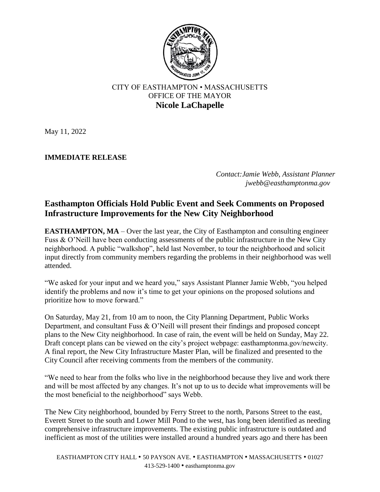

## CITY OF EASTHAMPTON • MASSACHUSETTS OFFICE OF THE MAYOR **Nicole LaChapelle**

May 11, 2022

## **IMMEDIATE RELEASE**

*Contact:Jamie Webb, Assistant Planner jwebb@easthamptonma.gov*

## **Easthampton Officials Hold Public Event and Seek Comments on Proposed Infrastructure Improvements for the New City Neighborhood**

**EASTHAMPTON, MA** – Over the last year, the City of Easthampton and consulting engineer Fuss & O'Neill have been conducting assessments of the public infrastructure in the New City neighborhood. A public "walkshop", held last November, to tour the neighborhood and solicit input directly from community members regarding the problems in their neighborhood was well attended.

"We asked for your input and we heard you," says Assistant Planner Jamie Webb, "you helped identify the problems and now it's time to get your opinions on the proposed solutions and prioritize how to move forward."

On Saturday, May 21, from 10 am to noon, the City Planning Department, Public Works Department, and consultant Fuss & O'Neill will present their findings and proposed concept plans to the New City neighborhood. In case of rain, the event will be held on Sunday, May 22. Draft concept plans can be viewed on the city's project webpage: easthamptonma.gov/newcity. A final report, the New City Infrastructure Master Plan, will be finalized and presented to the City Council after receiving comments from the members of the community.

"We need to hear from the folks who live in the neighborhood because they live and work there and will be most affected by any changes. It's not up to us to decide what improvements will be the most beneficial to the neighborhood" says Webb.

The New City neighborhood, bounded by Ferry Street to the north, Parsons Street to the east, Everett Street to the south and Lower Mill Pond to the west, has long been identified as needing comprehensive infrastructure improvements. The existing public infrastructure is outdated and inefficient as most of the utilities were installed around a hundred years ago and there has been